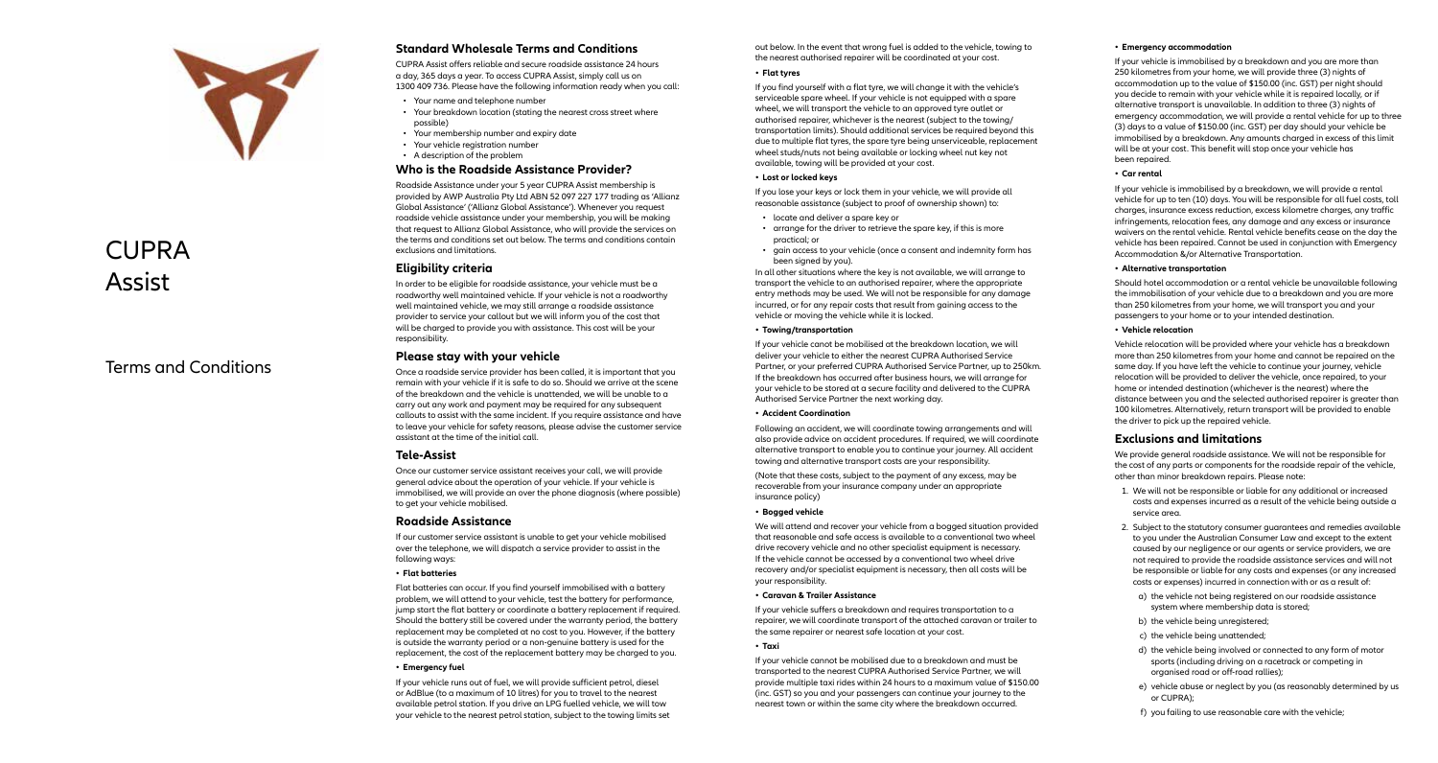

# CUPRA Assist

## Terms and Conditions

## **Standard Wholesale Terms and Conditions**

CUPRA Assist offers reliable and secure roadside assistance 24 hours a day, 365 days a year. To access CUPRA Assist, simply call us on 1300 409 736. Please have the following information ready when you call:

- Your name and telephone number
- Your breakdown location (stating the nearest cross street where possible)
- Your membership number and expiry date
- Your vehicle registration number
- A description of the problem

## **Who is the Roadside Assistance Provider?**

Roadside Assistance under your 5 year CUPRA Assist membership is provided by AWP Australia Pty Ltd ABN 52 097 227 177 trading as 'Allianz Global Assistance' ('Allianz Global Assistance'). Whenever you request roadside vehicle assistance under your membership, you will be making that request to Allianz Global Assistance, who will provide the services on the terms and conditions set out below. The terms and conditions contain exclusions and limitations.

## **Eligibility criteria**

In order to be eligible for roadside assistance, your vehicle must be a roadworthy well maintained vehicle. If your vehicle is not a roadworthy well maintained vehicle, we may still arrange a roadside assistance provider to service your callout but we will inform you of the cost that will be charged to provide you with assistance. This cost will be your responsibility.

## **Please stay with your vehicle**

Once a roadside service provider has been called, it is important that you remain with your vehicle if it is safe to do so. Should we arrive at the scene of the breakdown and the vehicle is unattended, we will be unable to a carry out any work and payment may be required for any subsequent callouts to assist with the same incident. If you require assistance and have to leave your vehicle for safety reasons, please advise the customer service assistant at the time of the initial call.

#### **Tele-Assist**

Once our customer service assistant receives your call, we will provide general advice about the operation of your vehicle. If your vehicle is immobilised, we will provide an over the phone diagnosis (where possible) to get your vehicle mobilised.

#### **Roadside Assistance**

If our customer service assistant is unable to get your vehicle mobilised over the telephone, we will dispatch a service provider to assist in the following ways:

#### **• Flat batteries**

Flat batteries can occur. If you find yourself immobilised with a battery problem, we will attend to your vehicle, test the battery for performance, jump start the flat battery or coordinate a battery replacement if required. Should the battery still be covered under the warranty period, the battery replacement may be completed at no cost to you. However, if the battery is outside the warranty period or a non-genuine battery is used for the replacement, the cost of the replacement battery may be charged to you.

#### **• Emergency fuel**

If your vehicle runs out of fuel, we will provide sufficient petrol, diesel or AdBlue (to a maximum of 10 litres) for you to travel to the nearest available petrol station. If you drive an LPG fuelled vehicle, we will tow your vehicle to the nearest petrol station, subject to the towing limits set out below. In the event that wrong fuel is added to the vehicle, towing to the nearest authorised repairer will be coordinated at your cost.

#### **• Flat tyres**

If you find yourself with a flat tyre, we will change it with the vehicle's serviceable spare wheel. If your vehicle is not equipped with a spare wheel, we will transport the vehicle to an approved tyre outlet or authorised repairer, whichever is the nearest (subject to the towing/ transportation limits). Should additional services be required beyond this due to multiple flat tyres, the spare tyre being unserviceable, replacement wheel studs/nuts not being available or locking wheel nut key not available, towing will be provided at your cost.

#### **• Lost or locked keys**

If you lose your keys or lock them in your vehicle, we will provide all reasonable assistance (subject to proof of ownership shown) to:

- locate and deliver a spare key or
- arrange for the driver to retrieve the spare key, if this is more practical; or
- gain access to your vehicle (once a consent and indemnity form has been signed by you).

In all other situations where the key is not available, we will arrange to transport the vehicle to an authorised repairer, where the appropriate entry methods may be used. We will not be responsible for any damage incurred, or for any repair costs that result from gaining access to the vehicle or moving the vehicle while it is locked.

#### **• Towing/transportation**

If your vehicle canot be mobilised at the breakdown location, we will deliver your vehicle to either the nearest CUPRA Authorised Service Partner, or your preferred CUPRA Authorised Service Partner, up to 250km. If the breakdown has occurred after business hours, we will arrange for your vehicle to be stored at a secure facility and delivered to the CUPRA Authorised Service Partner the next working day.

#### **• Accident Coordination**

Following an accident, we will coordinate towing arrangements and will also provide advice on accident procedures. If required, we will coordinate alternative transport to enable you to continue your journey. All accident towing and alternative transport costs are your responsibility.

(Note that these costs, subject to the payment of any excess, may be recoverable from your insurance company under an appropriate insurance policy)

#### **• Bogged vehicle**

We will attend and recover your vehicle from a bogged situation provided that reasonable and safe access is available to a conventional two wheel drive recovery vehicle and no other specialist equipment is necessary. If the vehicle cannot be accessed by a conventional two wheel drive recovery and/or specialist equipment is necessary, then all costs will be your responsibility.

#### **• Caravan & Trailer Assistance**

If your vehicle suffers a breakdown and requires transportation to a repairer, we will coordinate transport of the attached caravan or trailer to the same repairer or nearest safe location at your cost.

#### **• Taxi**

If your vehicle cannot be mobilised due to a breakdown and must be transported to the nearest CUPRA Authorised Service Partner, we will provide multiple taxi rides within 24 hours to a maximum value of \$150.00 (inc. GST) so you and your passengers can continue your journey to the nearest town or within the same city where the breakdown occurred.

#### **• Emergency accommodation**

If your vehicle is immobilised by a breakdown and you are more than 250 kilometres from your home, we will provide three (3) nights of accommodation up to the value of \$150.00 (inc. GST) per night should you decide to remain with your vehicle while it is repaired locally, or if alternative transport is unavailable. In addition to three (3) nights of emergency accommodation, we will provide a rental vehicle for up to three (3) days to a value of \$150.00 (inc. GST) per day should your vehicle be immobilised by a breakdown. Any amounts charged in excess of this limit will be at your cost. This benefit will stop once your vehicle has been repaired.

#### **• Car rental**

If your vehicle is immobilised by a breakdown, we will provide a rental vehicle for up to ten (10) days. You will be responsible for all fuel costs, toll charges, insurance excess reduction, excess kilometre charges, any traffic infringements, relocation fees, any damage and any excess or insurance waivers on the rental vehicle. Rental vehicle benefits cease on the day the vehicle has been repaired. Cannot be used in conjunction with Emergency Accommodation &/or Alternative Transportation.

#### **• Alternative transportation**

Should hotel accommodation or a rental vehicle be unavailable following the immobilisation of your vehicle due to a breakdown and you are more than 250 kilometres from your home, we will transport you and your passengers to your home or to your intended destination.

#### **• Vehicle relocation**

Vehicle relocation will be provided where your vehicle has a breakdown more than 250 kilometres from your home and cannot be repaired on the same day. If you have left the vehicle to continue your journey, vehicle relocation will be provided to deliver the vehicle, once repaired, to your home or intended destination (whichever is the nearest) where the distance between you and the selected authorised repairer is greater than 100 kilometres. Alternatively, return transport will be provided to enable the driver to pick up the repaired vehicle.

## **Exclusions and limitations**

We provide general roadside assistance. We will not be responsible for the cost of any parts or components for the roadside repair of the vehicle, other than minor breakdown repairs. Please note:

- 1. We will not be responsible or liable for any additional or increased costs and expenses incurred as a result of the vehicle being outside a service area.
- 2. Subject to the statutory consumer guarantees and remedies available to you under the Australian Consumer Law and except to the extent caused by our negligence or our agents or service providers, we are not required to provide the roadside assistance services and will not be responsible or liable for any costs and expenses (or any increased costs or expenses) incurred in connection with or as a result of:
	- a) the vehicle not being registered on our roadside assistance system where membership data is stored;
	- b) the vehicle being unregistered;
	- c) the vehicle being unattended;
	- d) the vehicle being involved or connected to any form of motor sports (including driving on a racetrack or competing in organised road or off-road rallies);
	- e) vehicle abuse or neglect by you (as reasonably determined by us or CUPRA);
	- f) you failing to use reasonable care with the vehicle;